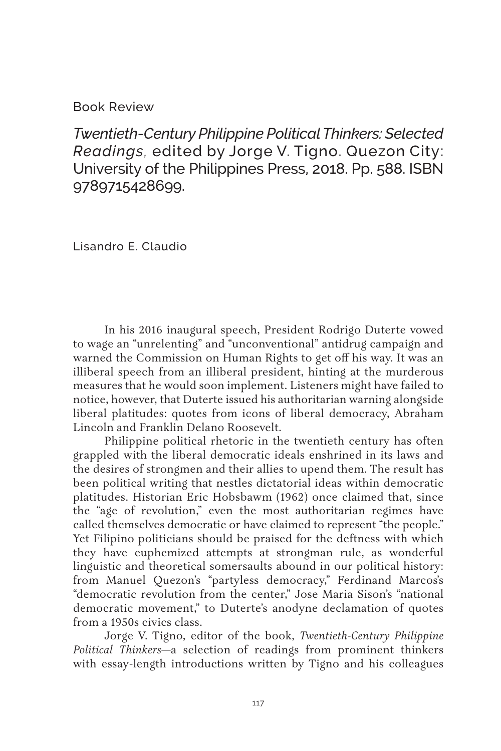## Book Review

*Twentieth-Century Philippine Political Thinkers: Selected Readings,* edited by Jorge V. Tigno. Quezon City: University of the Philippines Press, 2018. Pp. 588. ISBN 9789715428699.

Lisandro E. Claudio

In his 2016 inaugural speech, President Rodrigo Duterte vowed to wage an "unrelenting" and "unconventional" antidrug campaign and warned the Commission on Human Rights to get off his way. It was an illiberal speech from an illiberal president, hinting at the murderous measures that he would soon implement. Listeners might have failed to notice, however, that Duterte issued his authoritarian warning alongside liberal platitudes: quotes from icons of liberal democracy, Abraham Lincoln and Franklin Delano Roosevelt.

Philippine political rhetoric in the twentieth century has often grappled with the liberal democratic ideals enshrined in its laws and the desires of strongmen and their allies to upend them. The result has been political writing that nestles dictatorial ideas within democratic platitudes. Historian Eric Hobsbawm (1962) once claimed that, since the "age of revolution," even the most authoritarian regimes have called themselves democratic or have claimed to represent "the people." Yet Filipino politicians should be praised for the deftness with which they have euphemized attempts at strongman rule, as wonderful linguistic and theoretical somersaults abound in our political history: from Manuel Quezon's "partyless democracy," Ferdinand Marcos's "democratic revolution from the center," Jose Maria Sison's "national democratic movement," to Duterte's anodyne declamation of quotes from a 1950s civics class.

Jorge V. Tigno, editor of the book, *Twentieth-Century Philippine Political Thinkers*—a selection of readings from prominent thinkers with essay-length introductions written by Tigno and his colleagues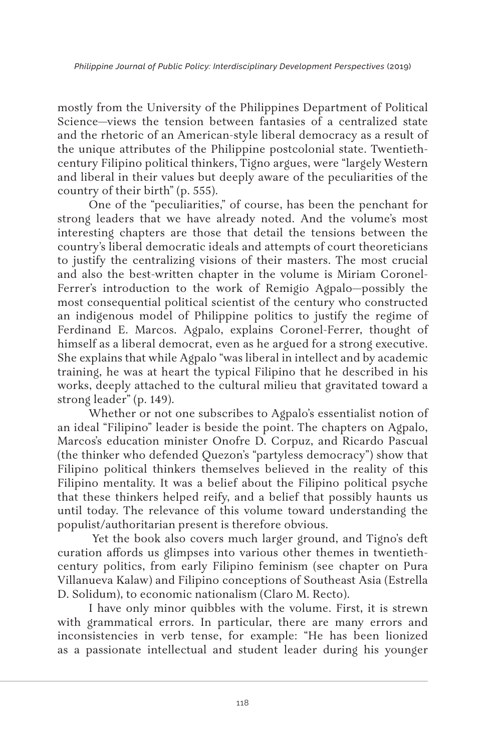mostly from the University of the Philippines Department of Political Science—views the tension between fantasies of a centralized state and the rhetoric of an American-style liberal democracy as a result of the unique attributes of the Philippine postcolonial state. Twentiethcentury Filipino political thinkers, Tigno argues, were "largely Western and liberal in their values but deeply aware of the peculiarities of the country of their birth" (p. 555).

One of the "peculiarities," of course, has been the penchant for strong leaders that we have already noted. And the volume's most interesting chapters are those that detail the tensions between the country's liberal democratic ideals and attempts of court theoreticians to justify the centralizing visions of their masters. The most crucial and also the best-written chapter in the volume is Miriam Coronel-Ferrer's introduction to the work of Remigio Agpalo—possibly the most consequential political scientist of the century who constructed an indigenous model of Philippine politics to justify the regime of Ferdinand E. Marcos. Agpalo, explains Coronel-Ferrer, thought of himself as a liberal democrat, even as he argued for a strong executive. She explains that while Agpalo "was liberal in intellect and by academic training, he was at heart the typical Filipino that he described in his works, deeply attached to the cultural milieu that gravitated toward a strong leader" (p. 149).

Whether or not one subscribes to Agpalo's essentialist notion of an ideal "Filipino" leader is beside the point. The chapters on Agpalo, Marcos's education minister Onofre D. Corpuz, and Ricardo Pascual (the thinker who defended Quezon's "partyless democracy") show that Filipino political thinkers themselves believed in the reality of this Filipino mentality. It was a belief about the Filipino political psyche that these thinkers helped reify, and a belief that possibly haunts us until today. The relevance of this volume toward understanding the populist/authoritarian present is therefore obvious.

 Yet the book also covers much larger ground, and Tigno's deft curation affords us glimpses into various other themes in twentiethcentury politics, from early Filipino feminism (see chapter on Pura Villanueva Kalaw) and Filipino conceptions of Southeast Asia (Estrella D. Solidum), to economic nationalism (Claro M. Recto).

I have only minor quibbles with the volume. First, it is strewn with grammatical errors. In particular, there are many errors and inconsistencies in verb tense, for example: "He has been lionized as a passionate intellectual and student leader during his younger